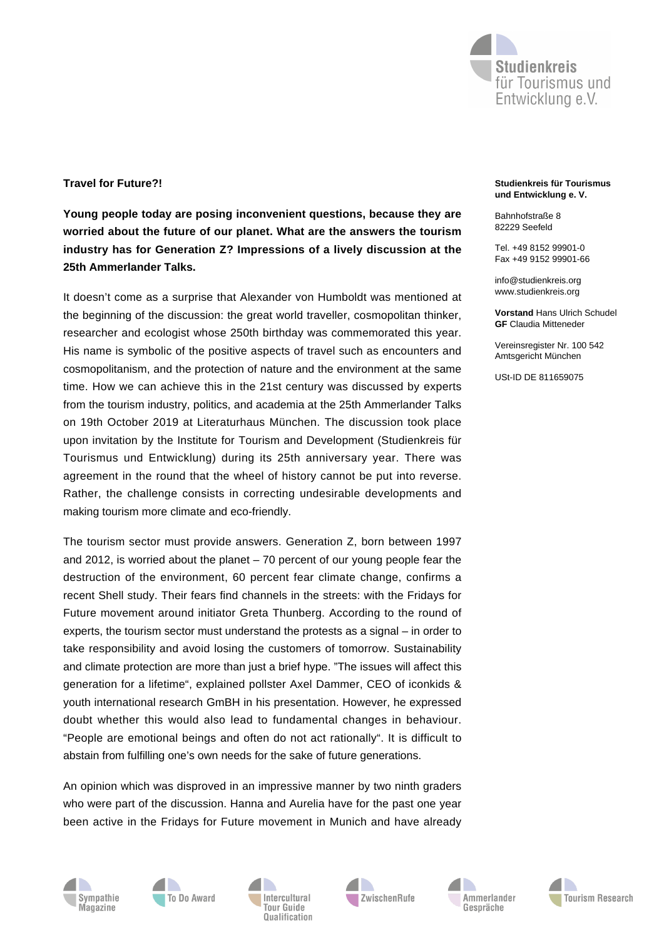

## **Travel for Future?!**

**Young people today are posing inconvenient questions, because they are worried about the future of our planet. What are the answers the tourism industry has for Generation Z? Impressions of a lively discussion at the 25th Ammerlander Talks.**

It doesn't come as a surprise that Alexander von Humboldt was mentioned at the beginning of the discussion: the great world traveller, cosmopolitan thinker, researcher and ecologist whose 250th birthday was commemorated this year. His name is symbolic of the positive aspects of travel such as encounters and cosmopolitanism, and the protection of nature and the environment at the same time. How we can achieve this in the 21st century was discussed by experts from the tourism industry, politics, and academia at the 25th Ammerlander Talks on 19th October 2019 at Literaturhaus München. The discussion took place upon invitation by the Institute for Tourism and Development (Studienkreis für Tourismus und Entwicklung) during its 25th anniversary year. There was agreement in the round that the wheel of history cannot be put into reverse. Rather, the challenge consists in correcting undesirable developments and making tourism more climate and eco-friendly.

The tourism sector must provide answers. Generation Z, born between 1997 and 2012, is worried about the planet – 70 percent of our young people fear the destruction of the environment, 60 percent fear climate change, confirms a recent Shell study. Their fears find channels in the streets: with the Fridays for Future movement around initiator Greta Thunberg. According to the round of experts, the tourism sector must understand the protests as a signal – in order to take responsibility and avoid losing the customers of tomorrow. Sustainability and climate protection are more than just a brief hype. "The issues will affect this generation for a lifetime", explained pollster Axel Dammer, CEO of iconkids & youth international research GmBH in his presentation. However, he expressed doubt whether this would also lead to fundamental changes in behaviour. "People are emotional beings and often do not act rationally". It is difficult to abstain from fulfilling one's own needs for the sake of future generations.

An opinion which was disproved in an impressive manner by two ninth graders who were part of the discussion. Hanna and Aurelia have for the past one year been active in the Fridays for Future movement in Munich and have already











## Tel. +49 8152 99901-0 Fax +49 9152 99901-66

**Studienkreis für Tourismus und Entwicklung e. V.**

info@studienkreis.org www.studienkreis.org

Bahnhofstraße 8 82229 Seefeld

**Vorstand** Hans Ulrich Schudel **GF** Claudia Mitteneder

Vereinsregister Nr. 100 542 Amtsgericht München

USt-ID DE 811659075

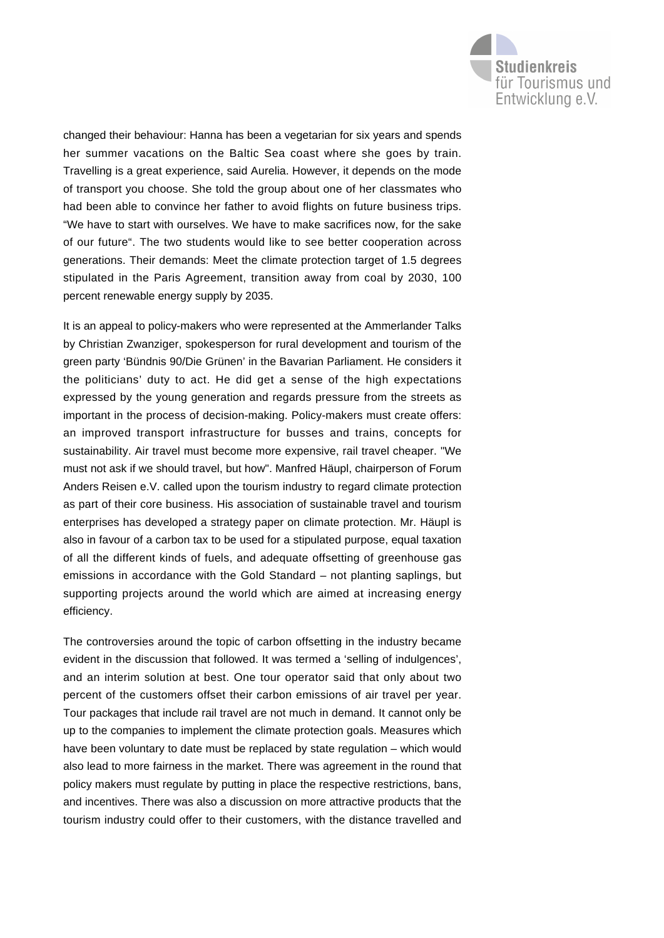

changed their behaviour: Hanna has been a vegetarian for six years and spends her summer vacations on the Baltic Sea coast where she goes by train. Travelling is a great experience, said Aurelia. However, it depends on the mode of transport you choose. She told the group about one of her classmates who had been able to convince her father to avoid flights on future business trips. "We have to start with ourselves. We have to make sacrifices now, for the sake of our future". The two students would like to see better cooperation across generations. Their demands: Meet the climate protection target of 1.5 degrees stipulated in the Paris Agreement, transition away from coal by 2030, 100 percent renewable energy supply by 2035.

It is an appeal to policy-makers who were represented at the Ammerlander Talks by Christian Zwanziger, spokesperson for rural development and tourism of the green party 'Bündnis 90/Die Grünen' in the Bavarian Parliament. He considers it the politicians' duty to act. He did get a sense of the high expectations expressed by the young generation and regards pressure from the streets as important in the process of decision-making. Policy-makers must create offers: an improved transport infrastructure for busses and trains, concepts for sustainability. Air travel must become more expensive, rail travel cheaper. "We must not ask if we should travel, but how". Manfred Häupl, chairperson of Forum Anders Reisen e.V. called upon the tourism industry to regard climate protection as part of their core business. His association of sustainable travel and tourism enterprises has developed a strategy paper on climate protection. Mr. Häupl is also in favour of a carbon tax to be used for a stipulated purpose, equal taxation of all the different kinds of fuels, and adequate offsetting of greenhouse gas emissions in accordance with the Gold Standard – not planting saplings, but supporting projects around the world which are aimed at increasing energy efficiency.

The controversies around the topic of carbon offsetting in the industry became evident in the discussion that followed. It was termed a 'selling of indulgences', and an interim solution at best. One tour operator said that only about two percent of the customers offset their carbon emissions of air travel per year. Tour packages that include rail travel are not much in demand. It cannot only be up to the companies to implement the climate protection goals. Measures which have been voluntary to date must be replaced by state regulation – which would also lead to more fairness in the market. There was agreement in the round that policy makers must regulate by putting in place the respective restrictions, bans, and incentives. There was also a discussion on more attractive products that the tourism industry could offer to their customers, with the distance travelled and